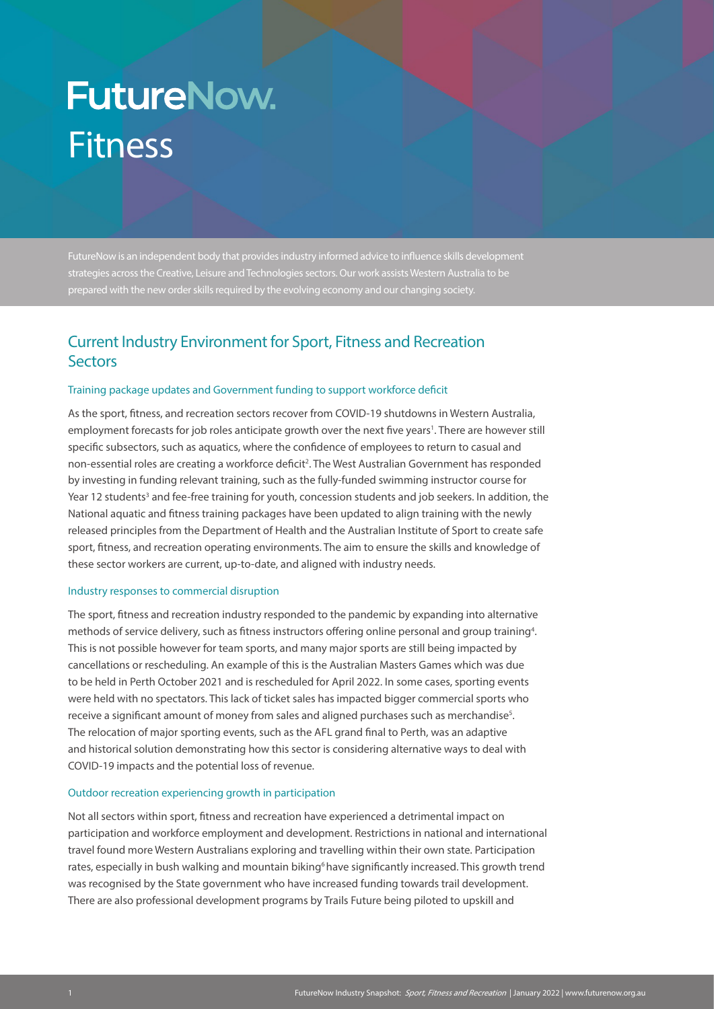# **FutureNow.** Fitness

FutureNow is an independent body that provides industry informed advice to influence skills development strategies across the Creative, Leisure and Technologies sectors. Our work assists Western Australia to be prepared with the new order skills required by the evolving economy and our changing society.

# Current Industry Environment for Sport, Fitness and Recreation **Sectors**

# Training package updates and Government funding to support workforce deficit

As the sport, fitness, and recreation sectors recover from COVID-19 shutdowns in Western Australia, employment forecasts for job roles anticipate growth over the next five years<sup>1</sup>. There are however still specific subsectors, such as aquatics, where the confidence of employees to return to casual and non-essential roles are creating a workforce deficit<sup>2</sup>. The West Australian Government has responded by investing in funding relevant training, such as the fully-funded swimming instructor course for Year 12 students<sup>3</sup> and fee-free training for youth, concession students and job seekers. In addition, the National aquatic and fitness training packages have been updated to align training with the newly released principles from the Department of Health and the Australian Institute of Sport to create safe sport, fitness, and recreation operating environments. The aim to ensure the skills and knowledge of these sector workers are current, up-to-date, and aligned with industry needs.

#### Industry responses to commercial disruption

The sport, fitness and recreation industry responded to the pandemic by expanding into alternative methods of service delivery, such as fitness instructors offering online personal and group training<sup>4</sup>. This is not possible however for team sports, and many major sports are still being impacted by cancellations or rescheduling. An example of this is the Australian Masters Games which was due to be held in Perth October 2021 and is rescheduled for April 2022. In some cases, sporting events were held with no spectators. This lack of ticket sales has impacted bigger commercial sports who receive a significant amount of money from sales and aligned purchases such as merchandise $^{\rm 5}$ . The relocation of major sporting events, such as the AFL grand final to Perth, was an adaptive and historical solution demonstrating how this sector is considering alternative ways to deal with COVID-19 impacts and the potential loss of revenue.

#### Outdoor recreation experiencing growth in participation

Not all sectors within sport, fitness and recreation have experienced a detrimental impact on participation and workforce employment and development. Restrictions in national and international travel found more Western Australians exploring and travelling within their own state. Participation rates, especially in bush walking and mountain biking<sup>6</sup> have significantly increased. This growth trend was recognised by the State government who have increased funding towards trail development. There are also professional development programs by Trails Future being piloted to upskill and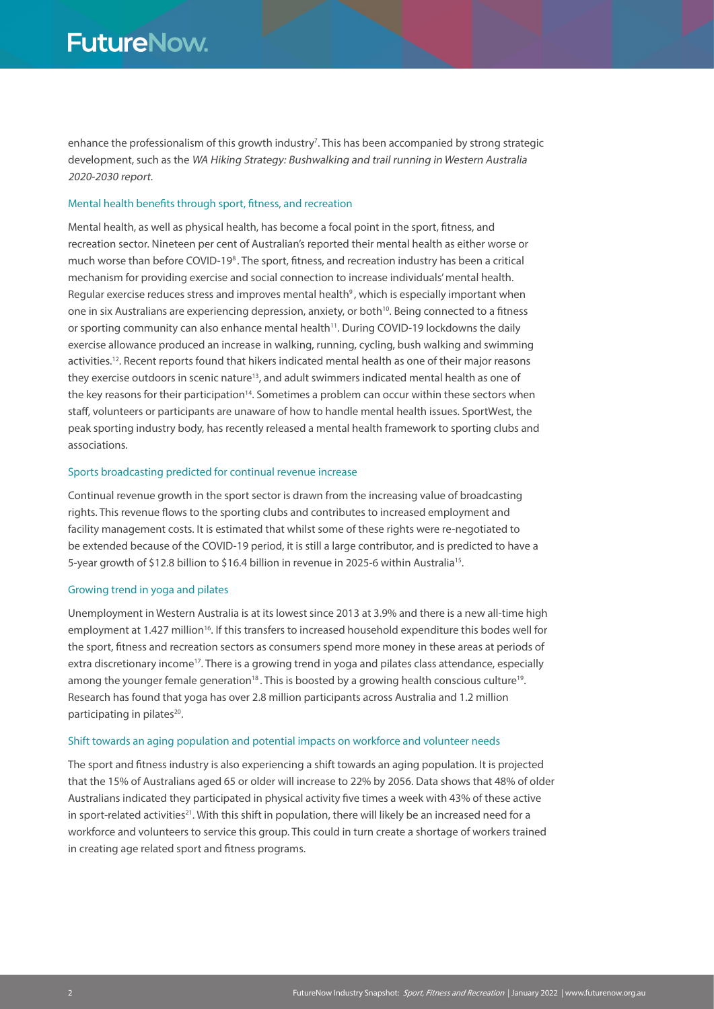enhance the professionalism of this growth industry<sup>7</sup>. This has been accompanied by strong strategic development, such as the WA Hiking Strategy: Bushwalking and trail running in Western Australia 2020-2030 report.

# Mental health benefits through sport, fitness, and recreation

Mental health, as well as physical health, has become a focal point in the sport, fitness, and recreation sector. Nineteen per cent of Australian's reported their mental health as either worse or much worse than before COVID-19<sup>8</sup>. The sport, fitness, and recreation industry has been a critical mechanism for providing exercise and social connection to increase individuals' mental health. Regular exercise reduces stress and improves mental health<sup>9</sup>, which is especially important when one in six Australians are experiencing depression, anxiety, or both<sup>10</sup>. Being connected to a fitness or sporting community can also enhance mental health<sup>11</sup>. During COVID-19 lockdowns the daily exercise allowance produced an increase in walking, running, cycling, bush walking and swimming activities.12. Recent reports found that hikers indicated mental health as one of their major reasons they exercise outdoors in scenic nature<sup>13</sup>, and adult swimmers indicated mental health as one of the key reasons for their participation<sup>14</sup>. Sometimes a problem can occur within these sectors when staff, volunteers or participants are unaware of how to handle mental health issues. SportWest, the peak sporting industry body, has recently released a mental health framework to sporting clubs and associations.

#### Sports broadcasting predicted for continual revenue increase

Continual revenue growth in the sport sector is drawn from the increasing value of broadcasting rights. This revenue flows to the sporting clubs and contributes to increased employment and facility management costs. It is estimated that whilst some of these rights were re-negotiated to be extended because of the COVID-19 period, it is still a large contributor, and is predicted to have a 5-year growth of \$12.8 billion to \$16.4 billion in revenue in 2025-6 within Australia<sup>15</sup>.

#### Growing trend in yoga and pilates

Unemployment in Western Australia is at its lowest since 2013 at 3.9% and there is a new all-time high employment at 1.427 million<sup>16</sup>. If this transfers to increased household expenditure this bodes well for the sport, fitness and recreation sectors as consumers spend more money in these areas at periods of extra discretionary income<sup>17</sup>. There is a growing trend in yoga and pilates class attendance, especially among the younger female generation<sup>18</sup>. This is boosted by a growing health conscious culture<sup>19</sup>. Research has found that yoga has over 2.8 million participants across Australia and 1.2 million participating in pilates<sup>20</sup>.

# Shift towards an aging population and potential impacts on workforce and volunteer needs

The sport and fitness industry is also experiencing a shift towards an aging population. It is projected that the 15% of Australians aged 65 or older will increase to 22% by 2056. Data shows that 48% of older Australians indicated they participated in physical activity five times a week with 43% of these active in sport-related activities<sup>21</sup>. With this shift in population, there will likely be an increased need for a workforce and volunteers to service this group. This could in turn create a shortage of workers trained in creating age related sport and fitness programs.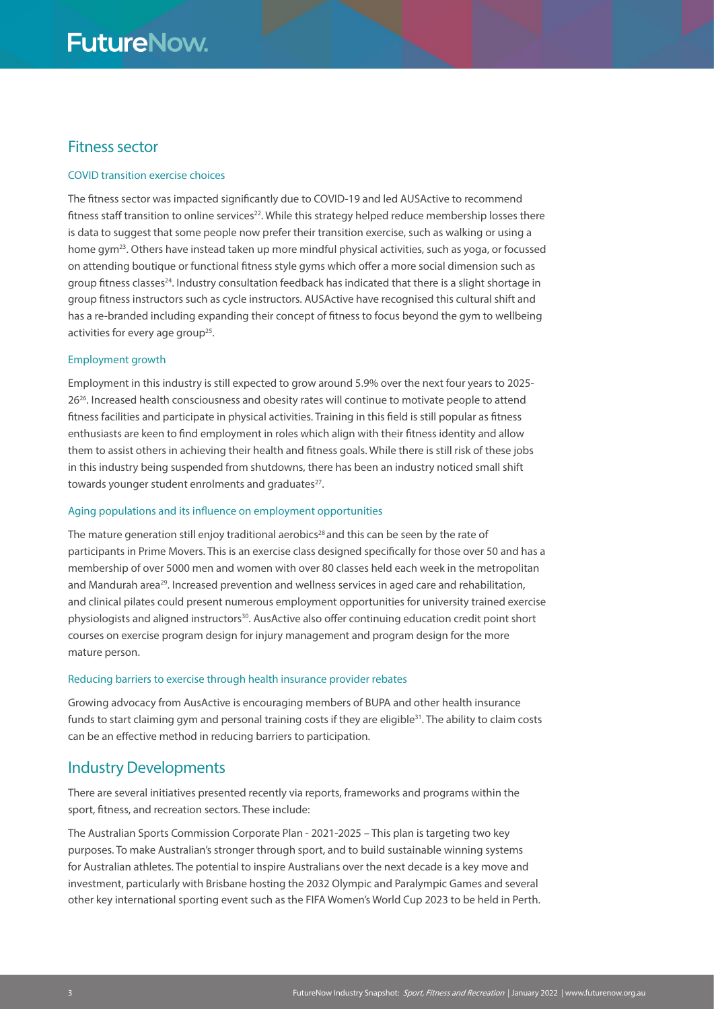# **FutureNow.**

# Fitness sector

## COVID transition exercise choices

The fitness sector was impacted significantly due to COVID-19 and led AUSActive to recommend fitness staff transition to online services<sup>22</sup>. While this strategy helped reduce membership losses there is data to suggest that some people now prefer their transition exercise, such as walking or using a home gym<sup>23</sup>. Others have instead taken up more mindful physical activities, such as yoga, or focussed on attending boutique or functional fitness style gyms which offer a more social dimension such as group fitness classes<sup>24</sup>. Industry consultation feedback has indicated that there is a slight shortage in group fitness instructors such as cycle instructors. AUSActive have recognised this cultural shift and has a re-branded including expanding their concept of fitness to focus beyond the gym to wellbeing activities for every age group<sup>25</sup>.

# Employment growth

Employment in this industry is still expected to grow around 5.9% over the next four years to 2025- 26<sup>26</sup>. Increased health consciousness and obesity rates will continue to motivate people to attend fitness facilities and participate in physical activities. Training in this field is still popular as fitness enthusiasts are keen to find employment in roles which align with their fitness identity and allow them to assist others in achieving their health and fitness goals. While there is still risk of these jobs in this industry being suspended from shutdowns, there has been an industry noticed small shift towards younger student enrolments and graduates<sup>27</sup>.

## Aging populations and its influence on employment opportunities

The mature generation still enjoy traditional aerobics<sup>28</sup> and this can be seen by the rate of participants in Prime Movers. This is an exercise class designed specifically for those over 50 and has a membership of over 5000 men and women with over 80 classes held each week in the metropolitan and Mandurah area<sup>29</sup>. Increased prevention and wellness services in aged care and rehabilitation, and clinical pilates could present numerous employment opportunities for university trained exercise physiologists and aligned instructors<sup>30</sup>. AusActive also offer continuing education credit point short courses on exercise program design for injury management and program design for the more mature person.

#### Reducing barriers to exercise through health insurance provider rebates

Growing advocacy from AusActive is encouraging members of BUPA and other health insurance funds to start claiming gym and personal training costs if they are eligible $31$ . The ability to claim costs can be an effective method in reducing barriers to participation.

# Industry Developments

There are several initiatives presented recently via reports, frameworks and programs within the sport, fitness, and recreation sectors. These include:

The Australian Sports Commission Corporate Plan - 2021-2025 – This plan is targeting two key purposes. To make Australian's stronger through sport, and to build sustainable winning systems for Australian athletes. The potential to inspire Australians over the next decade is a key move and investment, particularly with Brisbane hosting the 2032 Olympic and Paralympic Games and several other key international sporting event such as the FIFA Women's World Cup 2023 to be held in Perth.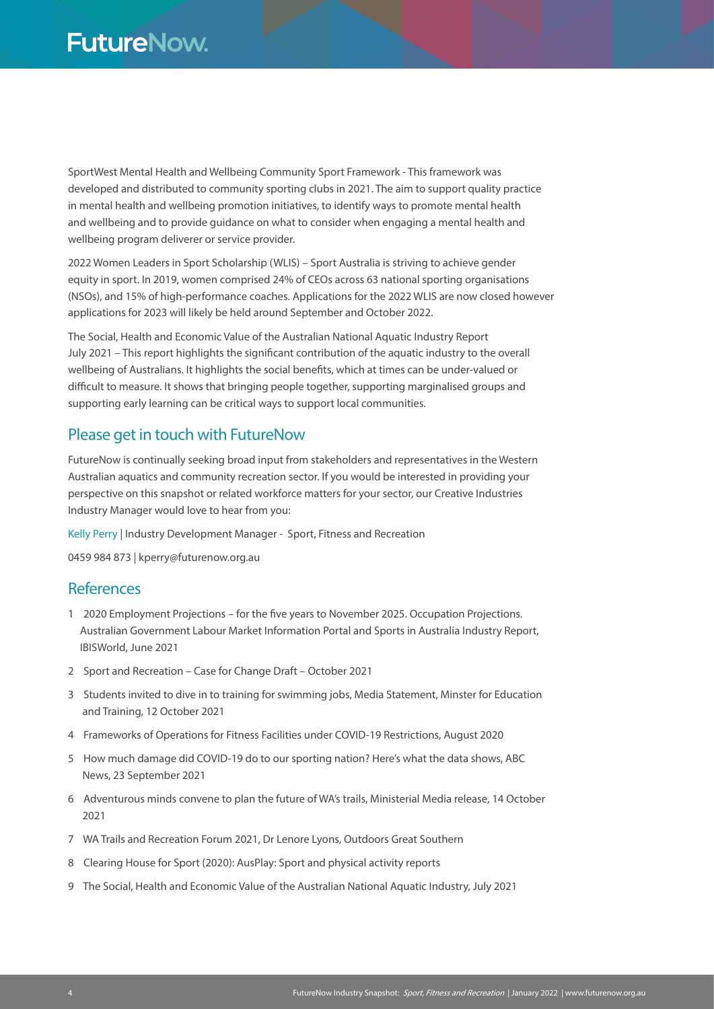SportWest Mental Health and Wellbeing Community Sport Framework - This framework was developed and distributed to community sporting clubs in 2021. The aim to support quality practice in mental health and wellbeing promotion initiatives, to identify ways to promote mental health and wellbeing and to provide guidance on what to consider when engaging a mental health and wellbeing program deliverer or service provider.

2022 Women Leaders in Sport Scholarship (WLIS) – Sport Australia is striving to achieve gender equity in sport. In 2019, women comprised 24% of CEOs across 63 national sporting organisations (NSOs), and 15% of high-performance coaches. Applications for the 2022 WLIS are now closed however applications for 2023 will likely be held around September and October 2022.

The Social, Health and Economic Value of the Australian National Aquatic Industry Report July 2021 – This report highlights the significant contribution of the aquatic industry to the overall wellbeing of Australians. It highlights the social benefits, which at times can be under-valued or difficult to measure. It shows that bringing people together, supporting marginalised groups and supporting early learning can be critical ways to support local communities.

# Please get in touch with FutureNow

FutureNow is continually seeking broad input from stakeholders and representatives in the Western Australian aquatics and community recreation sector. If you would be interested in providing your perspective on this snapshot or related workforce matters for your sector, our Creative Industries Industry Manager would love to hear from you:

Kelly Perry | Industry Development Manager - Sport, Fitness and Recreation

0459 984 873 | kperry@futurenow.org.au

# **References**

- 1 2020 Employment Projections for the five years to November 2025. Occupation Projections. Australian Government Labour Market Information Portal and Sports in Australia Industry Report, IBISWorld, June 2021
- 2 Sport and Recreation Case for Change Draft October 2021
- 3 Students invited to dive in to training for swimming jobs, Media Statement, Minster for Education and Training, 12 October 2021
- 4 Frameworks of Operations for Fitness Facilities under COVID-19 Restrictions, August 2020
- 5 How much damage did COVID-19 do to our sporting nation? Here's what the data shows, ABC News, 23 September 2021
- 6 Adventurous minds convene to plan the future of WA's trails, Ministerial Media release, 14 October 2021
- 7 WA Trails and Recreation Forum 2021, Dr Lenore Lyons, Outdoors Great Southern
- 8 Clearing House for Sport (2020): AusPlay: Sport and physical activity reports
- 9 The Social, Health and Economic Value of the Australian National Aquatic Industry, July 2021